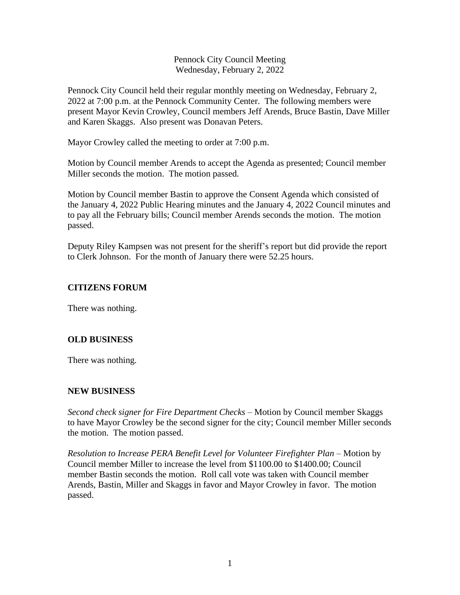Pennock City Council Meeting Wednesday, February 2, 2022

Pennock City Council held their regular monthly meeting on Wednesday, February 2, 2022 at 7:00 p.m. at the Pennock Community Center. The following members were present Mayor Kevin Crowley, Council members Jeff Arends, Bruce Bastin, Dave Miller and Karen Skaggs. Also present was Donavan Peters.

Mayor Crowley called the meeting to order at 7:00 p.m.

Motion by Council member Arends to accept the Agenda as presented; Council member Miller seconds the motion. The motion passed.

Motion by Council member Bastin to approve the Consent Agenda which consisted of the January 4, 2022 Public Hearing minutes and the January 4, 2022 Council minutes and to pay all the February bills; Council member Arends seconds the motion. The motion passed.

Deputy Riley Kampsen was not present for the sheriff's report but did provide the report to Clerk Johnson. For the month of January there were 52.25 hours.

### **CITIZENS FORUM**

There was nothing.

### **OLD BUSINESS**

There was nothing*.*

### **NEW BUSINESS**

*Second check signer for Fire Department Checks –* Motion by Council member Skaggs to have Mayor Crowley be the second signer for the city; Council member Miller seconds the motion. The motion passed.

*Resolution to Increase PERA Benefit Level for Volunteer Firefighter Plan –* Motion by Council member Miller to increase the level from \$1100.00 to \$1400.00; Council member Bastin seconds the motion. Roll call vote was taken with Council member Arends, Bastin, Miller and Skaggs in favor and Mayor Crowley in favor. The motion passed.